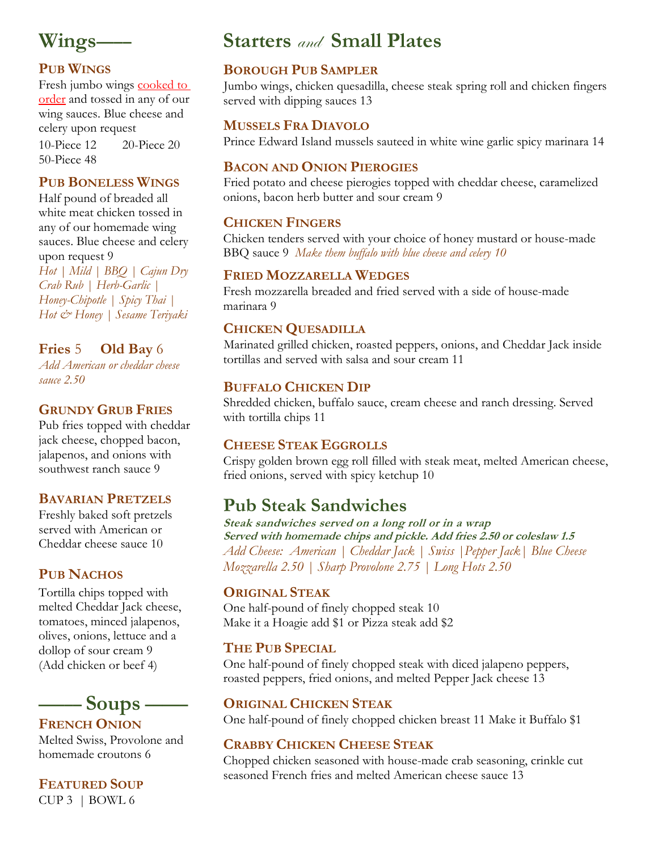

# **PUB WINGS**

Fresh jumbo wings **cooked to** order and tossed in any of our wing sauces. Blue cheese and celery upon request 10-Piece 12 20-Piece 20 50-Piece 48

#### **PUB BONELESS WINGS**

Half pound of breaded all white meat chicken tossed in any of our homemade wing sauces. Blue cheese and celery upon request 9 *Hot | Mild | BBQ | Cajun Dry Crab Rub | Herb-Garlic | Honey-Chipotle | Spicy Thai | Hot & Honey | Sesame Teriyaki*

# **Fries** 5 **Old Bay** 6

*Add American or cheddar cheese sauce 2.50*

# **GRUNDY GRUB FRIES**

Pub fries topped with cheddar jack cheese, chopped bacon, jalapenos, and onions with southwest ranch sauce 9

# **BAVARIAN PRETZELS**

Freshly baked soft pretzels served with American or Cheddar cheese sauce 10

# **PUB NACHOS**

Tortilla chips topped with melted Cheddar Jack cheese, tomatoes, minced jalapenos, olives, onions, lettuce and a dollop of sour cream 9 (Add chicken or beef 4)



# **FRENCH ONION**

Melted Swiss, Provolone and homemade croutons 6

# **FEATURED SOUP**

CUP 3 | BOWL 6

# **Starters** and **Small Plates**

# **BOROUGH PUB SAMPLER**

Jumbo wings, chicken quesadilla, cheese steak spring roll and chicken fingers served with dipping sauces 13

#### **MUSSELS FRA DIAVOLO**

Prince Edward Island mussels sauteed in white wine garlic spicy marinara 14

#### **BACON AND ONION PIEROGIES**

Fried potato and cheese pierogies topped with cheddar cheese, caramelized onions, bacon herb butter and sour cream 9

#### **CHICKEN FINGERS**

Chicken tenders served with your choice of honey mustard or house-made BBQ sauce 9 *Make them buffalo with blue cheese and celery 10*

#### **FRIED MOZZARELLA WEDGES**

Fresh mozzarella breaded and fried served with a side of house-made marinara 9

#### **CHICKEN QUESADILLA**

Marinated grilled chicken, roasted peppers, onions, and Cheddar Jack inside tortillas and served with salsa and sour cream 11

#### **BUFFALO CHICKEN DIP**

Shredded chicken, buffalo sauce, cream cheese and ranch dressing. Served with tortilla chips 11

#### **CHEESE STEAK EGGROLLS**

Crispy golden brown egg roll filled with steak meat, melted American cheese, fried onions, served with spicy ketchup 10

# **Pub Steak Sandwiches**

**Steak sandwiches served on a long roll or in a wrap Served with homemade chips and pickle. Add fries 2.50 or coleslaw 1.5** *Add Cheese: American | Cheddar Jack | Swiss |Pepper Jack| Blue Cheese Mozzarella 2.50 | Sharp Provolone 2.75 | Long Hots 2.50*

#### **ORIGINAL STEAK**

One half-pound of finely chopped steak 10 Make it a Hoagie add \$1 or Pizza steak add \$2

#### **THE PUB SPECIAL**

One half-pound of finely chopped steak with diced jalapeno peppers, roasted peppers, fried onions, and melted Pepper Jack cheese 13

# **ORIGINAL CHICKEN STEAK**

One half-pound of finely chopped chicken breast 11 Make it Buffalo \$1

#### **CRABBY CHICKEN CHEESE STEAK**

Chopped chicken seasoned with house-made crab seasoning, crinkle cut seasoned French fries and melted American cheese sauce 13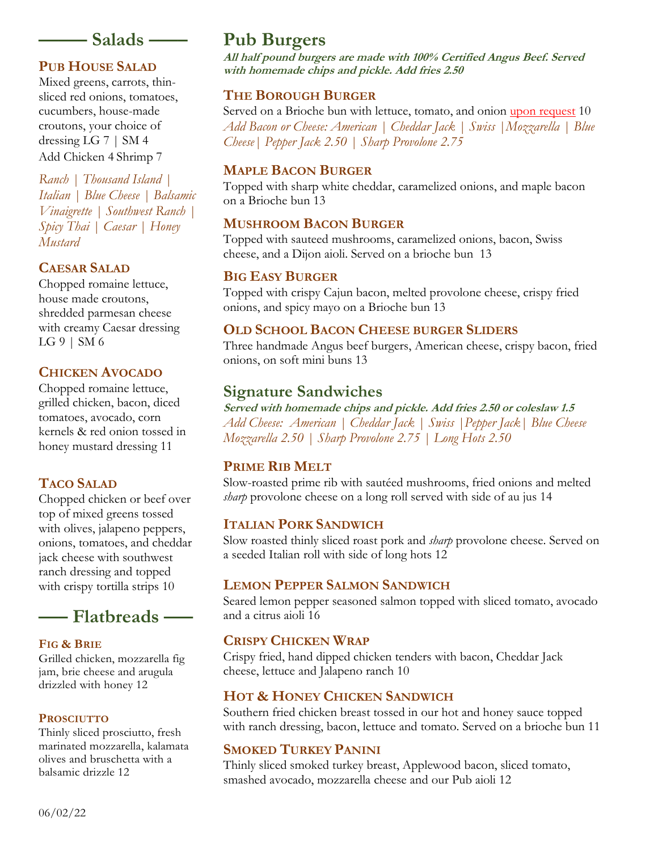# **—––– Salads –—–**

# **PUB HOUSE SALAD**

Mixed greens, carrots, thinsliced red onions, tomatoes, cucumbers, house-made croutons, your choice of dressing LG 7 | SM 4 Add Chicken 4 Shrimp 7

*Ranch | Thousand Island | Italian | Blue Cheese | Balsamic Vinaigrette | Southwest Ranch | Spicy Thai | Caesar | Honey Mustard*

# **CAESAR SALAD**

Chopped romaine lettuce, house made croutons, shredded parmesan cheese with creamy Caesar dressing  $LG 9$  | SM 6

# **CHICKEN AVOCADO**

Chopped romaine lettuce, grilled chicken, bacon, diced tomatoes, avocado, corn kernels & red onion tossed in honey mustard dressing 11

# **TACO SALAD**

Chopped chicken or beef over top of mixed greens tossed with olives, jalapeno peppers, onions, tomatoes, and cheddar jack cheese with southwest ranch dressing and topped with crispy tortilla strips 10



#### **FIG & BRIE**

Grilled chicken, mozzarella fig jam, brie cheese and arugula drizzled with honey 12

#### **PROSCIUTTO**

Thinly sliced prosciutto, fresh marinated mozzarella, kalamata olives and bruschetta with a balsamic drizzle 12

# **Pub Burgers**

**All half pound burgers are made with 100% Certified Angus Beef. Served with homemade chips and pickle. Add fries 2.50**

# **THE BOROUGH BURGER**

Served on a Brioche bun with lettuce, tomato, and onion upon request 10 *Add Bacon or Cheese: American | Cheddar Jack | Swiss |Mozzarella | Blue Cheese| Pepper Jack 2.50 | Sharp Provolone 2.75*

# **MAPLE BACON BURGER**

Topped with sharp white cheddar, caramelized onions, and maple bacon on a Brioche bun 13

# **MUSHROOM BACON BURGER**

Topped with sauteed mushrooms, caramelized onions, bacon, Swiss cheese, and a Dijon aioli. Served on a brioche bun 13

# **BIG EASY BURGER**

Topped with crispy Cajun bacon, melted provolone cheese, crispy fried onions, and spicy mayo on a Brioche bun 13

# **OLD SCHOOL BACON CHEESE BURGER SLIDERS**

Three handmade Angus beef burgers, American cheese, crispy bacon, fried onions, on soft mini buns 13

# **Signature Sandwiches**

**Served with homemade chips and pickle. Add fries 2.50 or coleslaw 1.5** *Add Cheese: American | Cheddar Jack | Swiss |Pepper Jack| Blue Cheese Mozzarella 2.50 | Sharp Provolone 2.75 | Long Hots 2.50*

#### **PRIME RIB MELT**

Slow-roasted prime rib with sautéed mushrooms, fried onions and melted *sharp* provolone cheese on a long roll served with side of au jus 14

# **ITALIAN PORK SANDWICH**

Slow roasted thinly sliced roast pork and *sharp* provolone cheese. Served on a seeded Italian roll with side of long hots 12

# **LEMON PEPPER SALMON SANDWICH**

Seared lemon pepper seasoned salmon topped with sliced tomato, avocado and a citrus aioli 16

#### **CRISPY CHICKEN WRAP**

Crispy fried, hand dipped chicken tenders with bacon, Cheddar Jack cheese, lettuce and Jalapeno ranch 10

# **HOT & HONEY CHICKEN SANDWICH**

Southern fried chicken breast tossed in our hot and honey sauce topped with ranch dressing, bacon, lettuce and tomato. Served on a brioche bun 11

# **SMOKED TURKEY PANINI**

Thinly sliced smoked turkey breast, Applewood bacon, sliced tomato, smashed avocado, mozzarella cheese and our Pub aioli 12